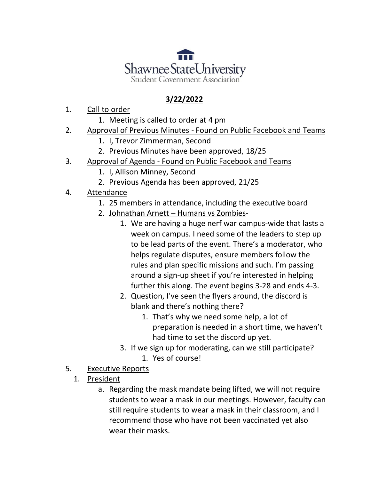

## **3/22/2022**

- 1. Call to order
	- 1. Meeting is called to order at 4 pm
- 2. Approval of Previous Minutes Found on Public Facebook and Teams
	- 1. I, Trevor Zimmerman, Second
	- 2. Previous Minutes have been approved, 18/25
- 3. Approval of Agenda Found on Public Facebook and Teams
	- 1. I, Allison Minney, Second
	- 2. Previous Agenda has been approved, 21/25
- 4. Attendance
	- 1. 25 members in attendance, including the executive board
	- 2. Johnathan Arnett Humans vs Zombies-
		- 1. We are having a huge nerf war campus-wide that lasts a week on campus. I need some of the leaders to step up to be lead parts of the event. There's a moderator, who helps regulate disputes, ensure members follow the rules and plan specific missions and such. I'm passing around a sign-up sheet if you're interested in helping further this along. The event begins 3-28 and ends 4-3.
		- 2. Question, I've seen the flyers around, the discord is blank and there's nothing there?
			- 1. That's why we need some help, a lot of preparation is needed in a short time, we haven't had time to set the discord up yet.
		- 3. If we sign up for moderating, can we still participate?
			- 1. Yes of course!
- 5. Executive Reports
	- 1. President
		- a. Regarding the mask mandate being lifted, we will not require students to wear a mask in our meetings. However, faculty can still require students to wear a mask in their classroom, and I recommend those who have not been vaccinated yet also wear their masks.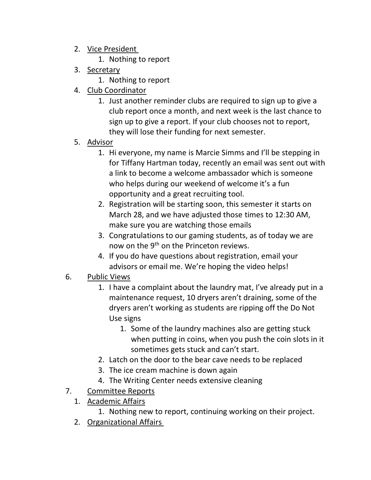- 2. Vice President
	- 1. Nothing to report
- 3. Secretary
	- 1. Nothing to report
- 4. Club Coordinator
	- 1. Just another reminder clubs are required to sign up to give a club report once a month, and next week is the last chance to sign up to give a report. If your club chooses not to report, they will lose their funding for next semester.
- 5. Advisor
	- 1. Hi everyone, my name is Marcie Simms and I'll be stepping in for Tiffany Hartman today, recently an email was sent out with a link to become a welcome ambassador which is someone who helps during our weekend of welcome it's a fun opportunity and a great recruiting tool.
	- 2. Registration will be starting soon, this semester it starts on March 28, and we have adjusted those times to 12:30 AM, make sure you are watching those emails
	- 3. Congratulations to our gaming students, as of today we are now on the 9<sup>th</sup> on the Princeton reviews.
	- 4. If you do have questions about registration, email your advisors or email me. We're hoping the video helps!
- 6. Public Views
	- 1. I have a complaint about the laundry mat, I've already put in a maintenance request, 10 dryers aren't draining, some of the dryers aren't working as students are ripping off the Do Not Use signs
		- 1. Some of the laundry machines also are getting stuck when putting in coins, when you push the coin slots in it sometimes gets stuck and can't start.
	- 2. Latch on the door to the bear cave needs to be replaced
	- 3. The ice cream machine is down again
	- 4. The Writing Center needs extensive cleaning
- 7. Committee Reports
	- 1. Academic Affairs
		- 1. Nothing new to report, continuing working on their project.
	- 2. Organizational Affairs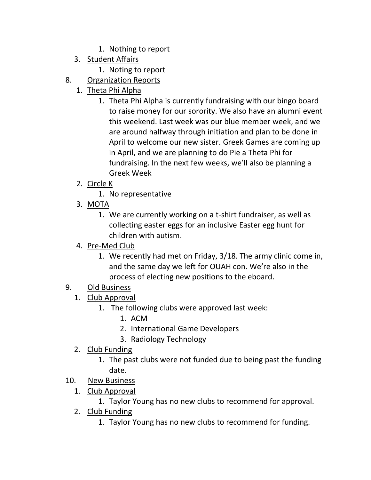- 1. Nothing to report
- 3. Student Affairs
	- 1. Noting to report
- 8. Organization Reports
	- 1. Theta Phi Alpha
		- 1. Theta Phi Alpha is currently fundraising with our bingo board to raise money for our sorority. We also have an alumni event this weekend. Last week was our blue member week, and we are around halfway through initiation and plan to be done in April to welcome our new sister. Greek Games are coming up in April, and we are planning to do Pie a Theta Phi for fundraising. In the next few weeks, we'll also be planning a Greek Week
	- 2. Circle K
		- 1. No representative
	- 3. MOTA
		- 1. We are currently working on a t-shirt fundraiser, as well as collecting easter eggs for an inclusive Easter egg hunt for children with autism.
	- 4. Pre-Med Club
		- 1. We recently had met on Friday, 3/18. The army clinic come in, and the same day we left for OUAH con. We're also in the process of electing new positions to the eboard.
- 9. Old Business
	- 1. Club Approval
		- 1. The following clubs were approved last week:
			- 1. ACM
			- 2. International Game Developers
			- 3. Radiology Technology
	- 2. Club Funding
		- 1. The past clubs were not funded due to being past the funding date.
- 10. New Business
	- 1. Club Approval
		- 1. Taylor Young has no new clubs to recommend for approval.
	- 2. Club Funding
		- 1. Taylor Young has no new clubs to recommend for funding.